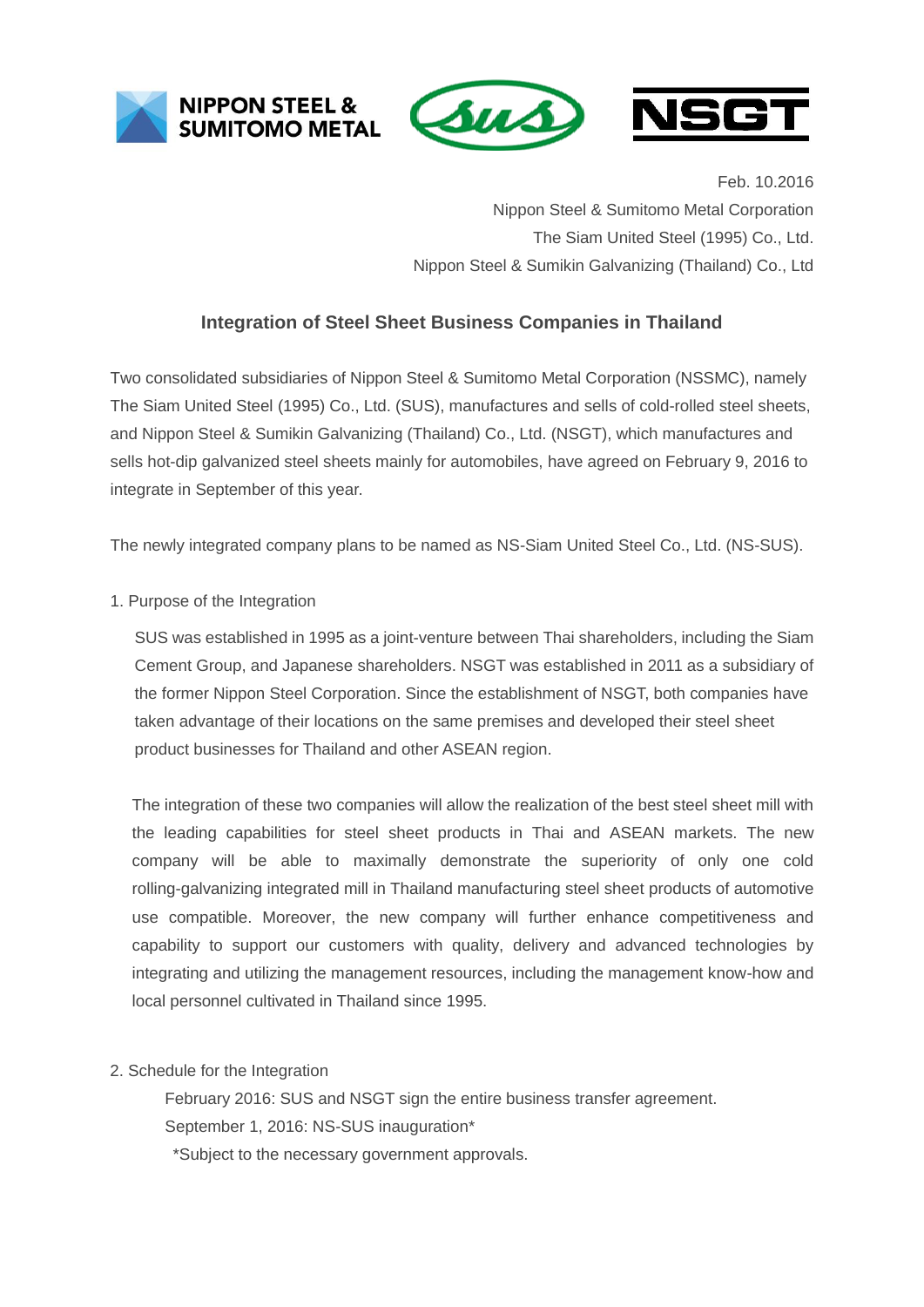





Feb. 10.2016 Nippon Steel & Sumitomo Metal Corporation The Siam United Steel (1995) Co., Ltd. Nippon Steel & Sumikin Galvanizing (Thailand) Co., Ltd

## **Integration of Steel Sheet Business Companies in Thailand**

Two consolidated subsidiaries of Nippon Steel & Sumitomo Metal Corporation (NSSMC), namely The Siam United Steel (1995) Co., Ltd. (SUS), manufactures and sells of cold-rolled steel sheets, and Nippon Steel & Sumikin Galvanizing (Thailand) Co., Ltd. (NSGT), which manufactures and sells hot-dip galvanized steel sheets mainly for automobiles, have agreed on February 9, 2016 to integrate in September of this year.

The newly integrated company plans to be named as NS-Siam United Steel Co., Ltd. (NS-SUS).

1. Purpose of the Integration

SUS was established in 1995 as a joint-venture between Thai shareholders, including the Siam Cement Group, and Japanese shareholders. NSGT was established in 2011 as a subsidiary of the former Nippon Steel Corporation. Since the establishment of NSGT, both companies have taken advantage of their locations on the same premises and developed their steel sheet product businesses for Thailand and other ASEAN region.

The integration of these two companies will allow the realization of the best steel sheet mill with the leading capabilities for steel sheet products in Thai and ASEAN markets. The new company will be able to maximally demonstrate the superiority of only one cold rolling-galvanizing integrated mill in Thailand manufacturing steel sheet products of automotive use compatible. Moreover, the new company will further enhance competitiveness and capability to support our customers with quality, delivery and advanced technologies by integrating and utilizing the management resources, including the management know-how and local personnel cultivated in Thailand since 1995.

2. Schedule for the Integration

February 2016: SUS and NSGT sign the entire business transfer agreement. September 1, 2016: NS-SUS inauguration\* \*Subject to the necessary government approvals.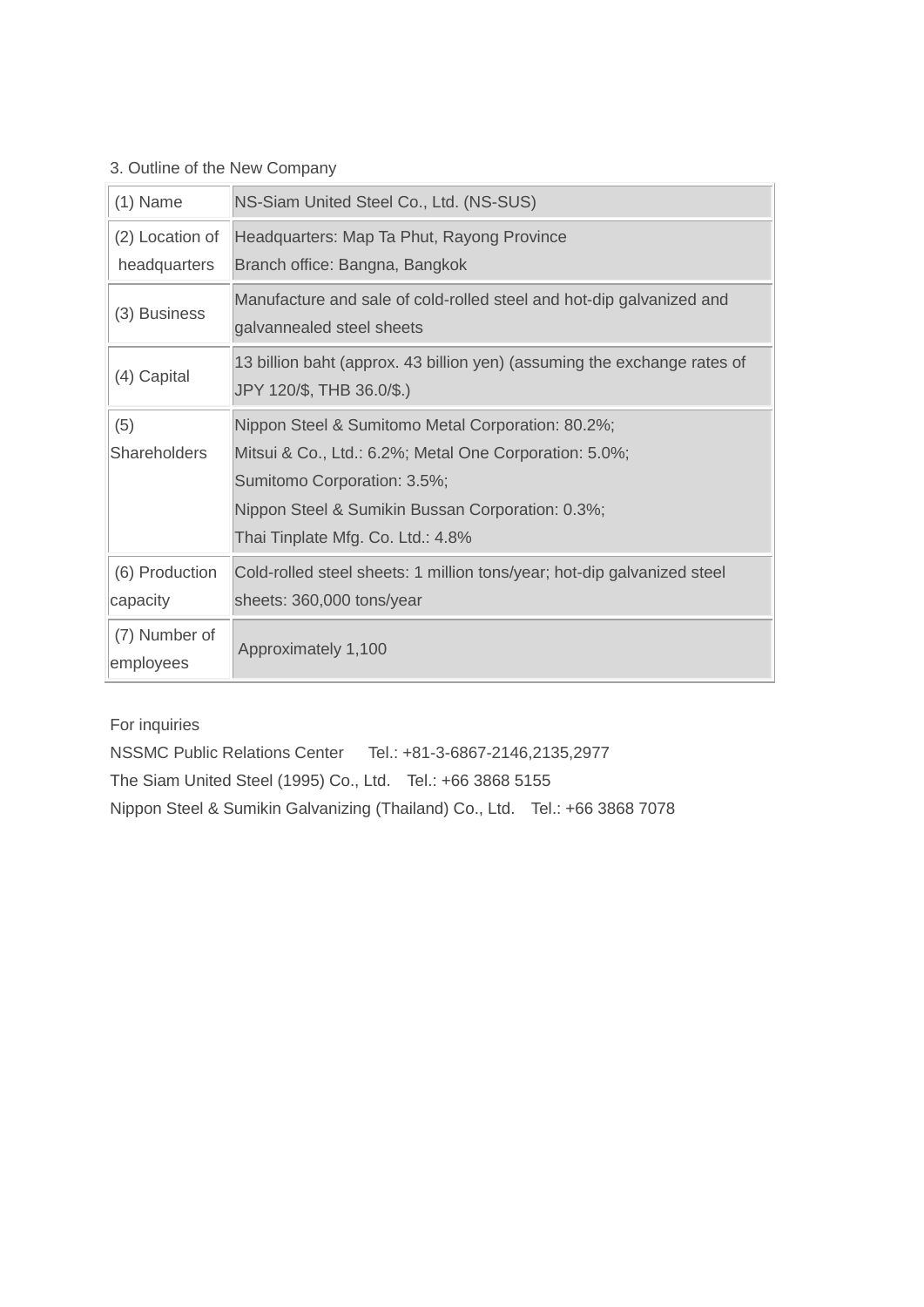## 3. Outline of the New Company

| $(1)$ Name                 | NS-Siam United Steel Co., Ltd. (NS-SUS)                                                               |  |
|----------------------------|-------------------------------------------------------------------------------------------------------|--|
| (2) Location of            | Headquarters: Map Ta Phut, Rayong Province                                                            |  |
| headquarters               | Branch office: Bangna, Bangkok                                                                        |  |
| (3) Business               | Manufacture and sale of cold-rolled steel and hot-dip galvanized and<br>galvannealed steel sheets     |  |
| (4) Capital                | 13 billion baht (approx. 43 billion yen) (assuming the exchange rates of<br>JPY 120/\$, THB 36.0/\$.) |  |
| (5)                        | Nippon Steel & Sumitomo Metal Corporation: 80.2%;                                                     |  |
| Shareholders               | Mitsui & Co., Ltd.: 6.2%; Metal One Corporation: 5.0%;                                                |  |
|                            | Sumitomo Corporation: 3.5%;                                                                           |  |
|                            | Nippon Steel & Sumikin Bussan Corporation: 0.3%;                                                      |  |
|                            | Thai Tinplate Mfg. Co. Ltd.: 4.8%                                                                     |  |
| (6) Production             | Cold-rolled steel sheets: 1 million tons/year; hot-dip galvanized steel                               |  |
| capacity                   | sheets: 360,000 tons/year                                                                             |  |
| (7) Number of<br>employees | Approximately 1,100                                                                                   |  |

For inquiries

NSSMC Public Relations Center Tel.: +81-3-6867-2146,2135,2977 The Siam United Steel (1995) Co., Ltd. Tel.: +66 3868 5155 Nippon Steel & Sumikin Galvanizing (Thailand) Co., Ltd. Tel.: +66 3868 7078